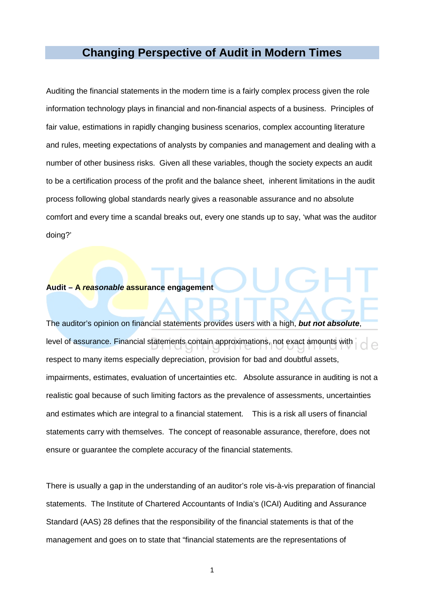# **Changing Perspective of Audit in Modern Times**

Auditing the financial statements in the modern time is a fairly complex process given the role information technology plays in financial and non-financial aspects of a business. Principles of fair value, estimations in rapidly changing business scenarios, complex accounting literature and rules, meeting expectations of analysts by companies and management and dealing with a number of other business risks. Given all these variables, though the society expects an audit to be a certification process of the profit and the balance sheet, inherent limitations in the audit process following global standards nearly gives a reasonable assurance and no absolute comfort and every time a scandal breaks out, every one stands up to say, 'what was the auditor doing?'

### **Audit – A reasonable assurance engagement**

The auditor's opinion on financial statements provides users with a high, **but not absolute**, level of assurance. Financial statements contain approximations, not exact amounts with respect to many items especially depreciation, provision for bad and doubtful assets, impairments, estimates, evaluation of uncertainties etc. Absolute assurance in auditing is not a realistic goal because of such limiting factors as the prevalence of assessments, uncertainties and estimates which are integral to a financial statement. This is a risk all users of financial statements carry with themselves. The concept of reasonable assurance, therefore, does not ensure or guarantee the complete accuracy of the financial statements.

There is usually a gap in the understanding of an auditor's role vis-à-vis preparation of financial statements. The Institute of Chartered Accountants of India's (ICAI) Auditing and Assurance Standard (AAS) 28 defines that the responsibility of the financial statements is that of the management and goes on to state that "financial statements are the representations of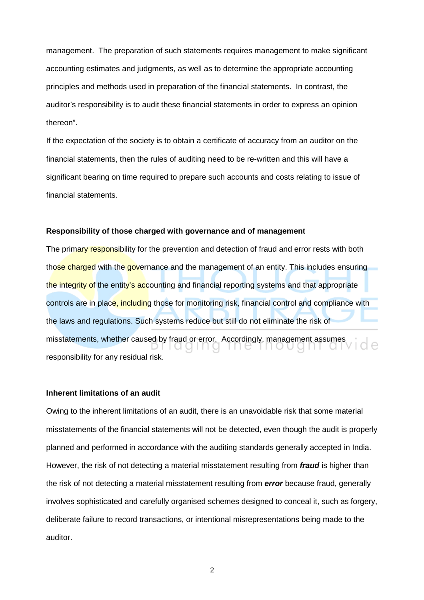management. The preparation of such statements requires management to make significant accounting estimates and judgments, as well as to determine the appropriate accounting principles and methods used in preparation of the financial statements. In contrast, the auditor's responsibility is to audit these financial statements in order to express an opinion thereon".

If the expectation of the society is to obtain a certificate of accuracy from an auditor on the financial statements, then the rules of auditing need to be re-written and this will have a significant bearing on time required to prepare such accounts and costs relating to issue of financial statements.

#### **Responsibility of those charged with governance and of management**

The primary responsibility for the prevention and detection of fraud and error rests with both those charged with the governance and the management of an entity. This includes ensuring the integrity of the entity's accounting and financial reporting systems and that appropriate controls are in place, including those for monitoring risk, financial control and compliance with the laws and regulations. Such systems reduce but still do not eliminate the risk of misstatements, whether caused by fraud or error. Accordingly, management assumes 1 Q Q 1 1 1 Q antai responsibility for any residual risk.

#### **Inherent limitations of an audit**

Owing to the inherent limitations of an audit, there is an unavoidable risk that some material misstatements of the financial statements will not be detected, even though the audit is properly planned and performed in accordance with the auditing standards generally accepted in India. However, the risk of not detecting a material misstatement resulting from **fraud** is higher than the risk of not detecting a material misstatement resulting from **error** because fraud, generally involves sophisticated and carefully organised schemes designed to conceal it, such as forgery, deliberate failure to record transactions, or intentional misrepresentations being made to the auditor.

2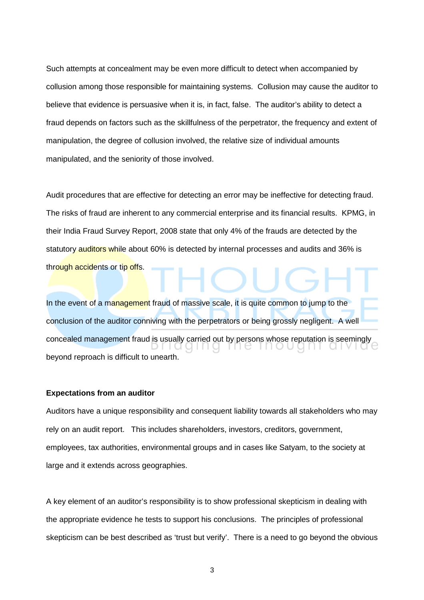Such attempts at concealment may be even more difficult to detect when accompanied by collusion among those responsible for maintaining systems. Collusion may cause the auditor to believe that evidence is persuasive when it is, in fact, false. The auditor's ability to detect a fraud depends on factors such as the skillfulness of the perpetrator, the frequency and extent of manipulation, the degree of collusion involved, the relative size of individual amounts manipulated, and the seniority of those involved.

Audit procedures that are effective for detecting an error may be ineffective for detecting fraud. The risks of fraud are inherent to any commercial enterprise and its financial results. KPMG, in their India Fraud Survey Report, 2008 state that only 4% of the frauds are detected by the statutory auditors while about 60% is detected by internal processes and audits and 36% is through accidents or tip offs.

In the event of a management fraud of massive scale, it is quite common to jump to the conclusion of the auditor conniving with the perpetrators or being grossly negligent. A well concealed management fraud is usually carried out by persons whose reputation is seemingly beyond reproach is difficult to unearth.

#### **Expectations from an auditor**

Auditors have a unique responsibility and consequent liability towards all stakeholders who may rely on an audit report. This includes shareholders, investors, creditors, government, employees, tax authorities, environmental groups and in cases like Satyam, to the society at large and it extends across geographies.

A key element of an auditor's responsibility is to show professional skepticism in dealing with the appropriate evidence he tests to support his conclusions. The principles of professional skepticism can be best described as 'trust but verify'. There is a need to go beyond the obvious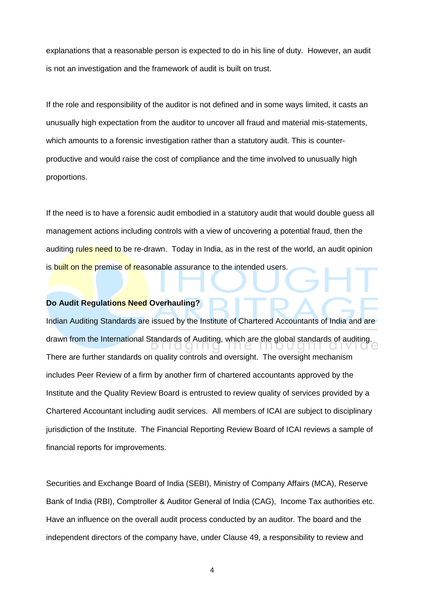explanations that a reasonable person is expected to do in his line of duty. However, an audit is not an investigation and the framework of audit is built on trust.

If the role and responsibility of the auditor is not defined and in some ways limited, it casts an unusually high expectation from the auditor to uncover all fraud and material mis-statements, which amounts to a forensic investigation rather than a statutory audit. This is counterproductive and would raise the cost of compliance and the time involved to unusually high proportions.

If the need is to have a forensic audit embodied in a statutory audit that would double guess all management actions including controls with a view of uncovering a potential fraud, then the auditing rules need to be re-drawn. Today in India, as in the rest of the world, an audit opinion is built on the premise of reasonable assurance to the intended users.

# **Do Audit Regulations Need Overhauling?**

Indian Auditing Standards are issued by the Institute of Chartered Accountants of India and are drawn from the International Standards of Auditing, which are the global standards of auditing. There are further standards on quality controls and oversight. The oversight mechanism includes Peer Review of a firm by another firm of chartered accountants approved by the Institute and the Quality Review Board is entrusted to review quality of services provided by a Chartered Accountant including audit services. All members of ICAI are subject to disciplinary jurisdiction of the Institute. The Financial Reporting Review Board of ICAI reviews a sample of financial reports for improvements.

Securities and Exchange Board of India (SEBI), Ministry of Company Affairs (MCA), Reserve Bank of India (RBI), Comptroller & Auditor General of India (CAG), Income Tax authorities etc. Have an influence on the overall audit process conducted by an auditor. The board and the independent directors of the company have, under Clause 49, a responsibility to review and

4